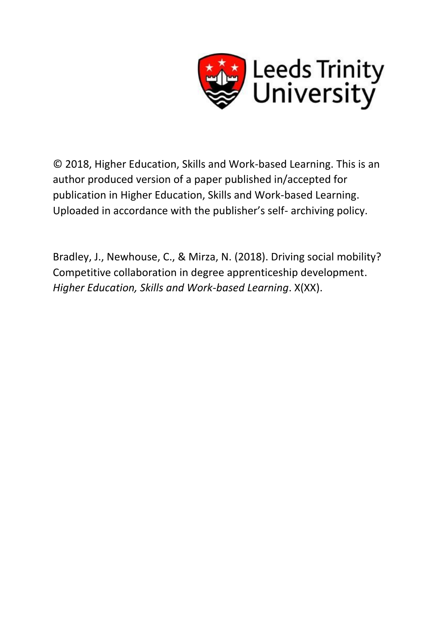

© 2018, Higher Education, Skills and Work-based Learning. This is an author produced version of a paper published in/accepted for publication in Higher Education, Skills and Work-based Learning. Uploaded in accordance with the publisher's self- archiving policy.

Bradley, J., Newhouse, C., & Mirza, N. (2018). Driving social mobility? Competitive collaboration in degree apprenticeship development. *Higher Education, Skills and Work-based Learning*. X(XX).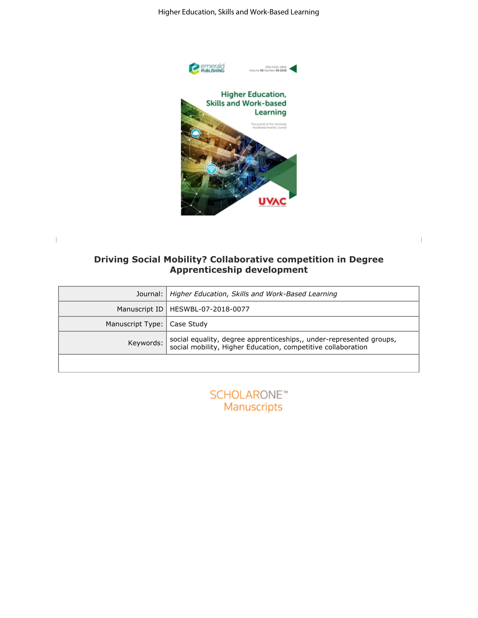

| Higher Education, Skills and Work-Based Learning                                                                                                                                                                                                                                                                                     |                                                                                                                                     |  |
|--------------------------------------------------------------------------------------------------------------------------------------------------------------------------------------------------------------------------------------------------------------------------------------------------------------------------------------|-------------------------------------------------------------------------------------------------------------------------------------|--|
| <b>Pemerald</b><br><b>PUBLISHING</b><br>ESN 2042-3896<br>Volume 00 Number 00 2018<br><b>Higher Education,</b><br><b>Skills and Work-based</b><br>Learning<br>The journal of the University<br>Vocational Awards Council<br>UVAC<br>Driving Social Mobility? Collaborative competition in Degree<br><b>Apprenticeship development</b> |                                                                                                                                     |  |
| Journal:                                                                                                                                                                                                                                                                                                                             | Higher Education, Skills and Work-Based Learning                                                                                    |  |
| Manuscript ID                                                                                                                                                                                                                                                                                                                        | HESWBL-07-2018-0077                                                                                                                 |  |
| Manuscript Type:                                                                                                                                                                                                                                                                                                                     | Case Study                                                                                                                          |  |
| Keywords:                                                                                                                                                                                                                                                                                                                            | social equality, degree apprenticeships,, under-represented groups,<br>social mobility, Higher Education, competitive collaboration |  |
|                                                                                                                                                                                                                                                                                                                                      | <b>SCHOLARONE™</b><br>Manuscripts                                                                                                   |  |

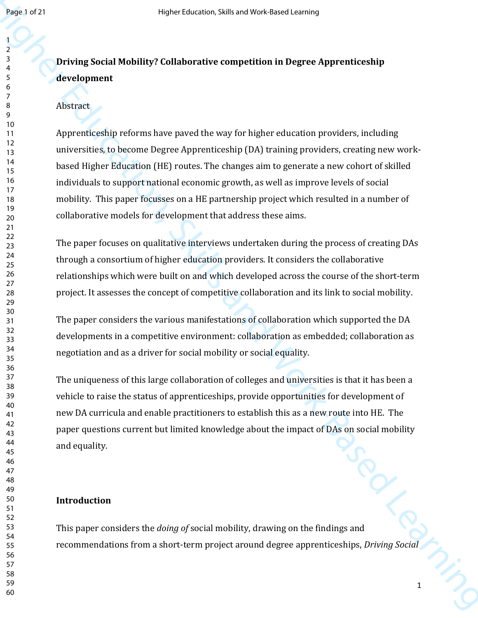# **Driving Social Mobility? Collaborative competition in Degree Apprenticeship development**

#### Abstract

Health or 21<br>
Health Mobility? Collaborative competition in Degree Appronticeship<br>  $\frac{1}{2}$ <br>  $\frac{1}{4}$ <br>
Advance.<br>  $\frac{1}{4}$ <br>
Advance.<br>
Advance.<br>
Advance.<br>
Advance.<br>
Advance.<br>  $\frac{1}{4}$ <br>
Advance.<br>  $\frac{1}{4}$ <br>
Advance.<br>  $\frac$ Apprenticeship reforms have paved the way for higher education providers, including universities, to become Degree Apprenticeship (DA) training providers, creating new workbased Higher Education (HE) routes. The changes aim to generate a new cohort of skilled individuals to support national economic growth, as well as improve levels of social mobility. This paper focusses on a HE partnership project which resulted in a number of collaborative models for development that address these aims.

The paper focuses on qualitative interviews undertaken during the process of creating DAs through a consortium of higher education providers. It considers the collaborative relationships which were built on and which developed across the course of the short-term project. It assesses the concept of competitive collaboration and its link to social mobility.

The paper considers the various manifestations of collaboration which supported the DA developments in a competitive environment: collaboration as embedded; collaboration as negotiation and as a driver for social mobility or social equality.

The uniqueness of this large collaboration of colleges and universities is that it has been a vehicle to raise the status of apprenticeships, provide opportunities for development of new DA curricula and enable practitioners to establish this as a new route into HE. The paper questions current but limited knowledge about the impact of DAs on social mobility and equality.

#### **Introduction**

This paper considers the *doing of* social mobility, drawing on the findings and recommendations from a short-term project around degree apprenticeships, *Driving Social*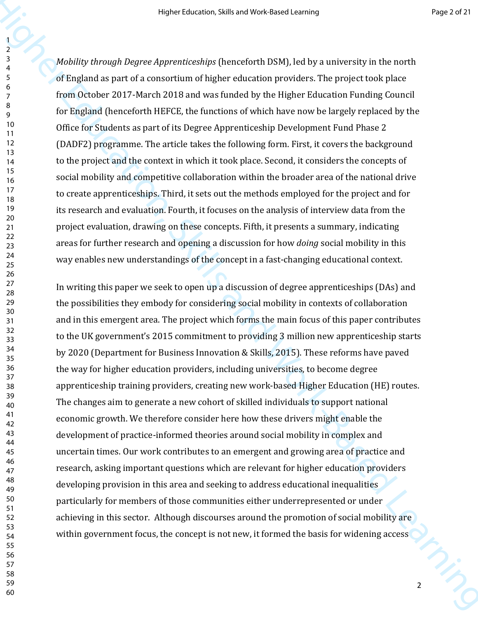*Mobility through Degree Apprenticeships* (henceforth DSM), led by a university in the north of England as part of a consortium of higher education providers. The project took place from October 2017-March 2018 and was funded by the Higher Education Funding Council for England (henceforth HEFCE, the functions of which have now be largely replaced by the Office for Students as part of its Degree Apprenticeship Development Fund Phase 2 (DADF2) programme. The article takes the following form. First, it covers the background to the project and the context in which it took place. Second, it considers the concepts of social mobility and competitive collaboration within the broader area of the national drive to create apprenticeships. Third, it sets out the methods employed for the project and for its research and evaluation. Fourth, it focuses on the analysis of interview data from the project evaluation, drawing on these concepts. Fifth, it presents a summary, indicating areas for further research and opening a discussion for how *doing* social mobility in this way enables new understandings of the concept in a fast-changing educational context.

Here it is not be the control of the control of the control of the control of the control of the control of the control of the control of the control of the control of the control of the control of the control of the cont In writing this paper we seek to open up a discussion of degree apprenticeships (DAs) and the possibilities they embody for considering social mobility in contexts of collaboration and in this emergent area. The project which forms the main focus of this paper contributes to the UK government's 2015 commitment to providing 3 million new apprenticeship starts by 2020 (Department for Business Innovation & Skills, 2015). These reforms have paved the way for higher education providers, including universities, to become degree apprenticeship training providers, creating new work-based Higher Education (HE) routes. The changes aim to generate a new cohort of skilled individuals to support national economic growth. We therefore consider here how these drivers might enable the development of practice-informed theories around social mobility in complex and uncertain times. Our work contributes to an emergent and growing area of practice and research, asking important questions which are relevant for higher education providers developing provision in this area and seeking to address educational inequalities particularly for members of those communities either underrepresented or under achieving in this sector. Although discourses around the promotion of social mobility are within government focus, the concept is not new, it formed the basis for widening access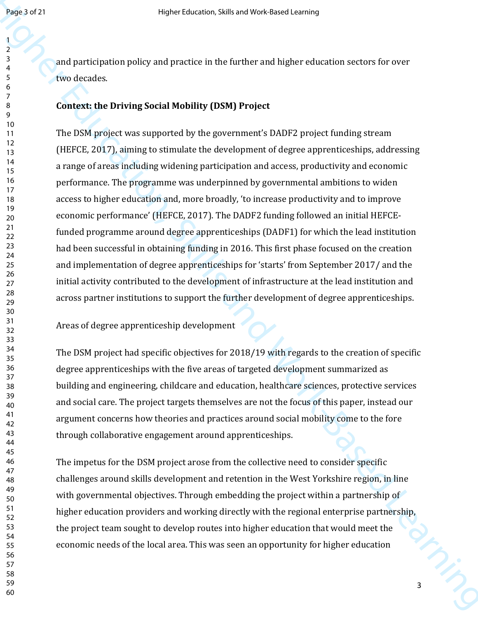and participation policy and practice in the further and higher education sectors for over two decades.

### **Context: the Driving Social Mobility (DSM) Project**

Health and been according to the further and higher coloration sectors for over<br>  $\frac{1}{2}$  and particulation policy and practice in the further and higher coloration sectors for over<br>  $\frac{1}{2}$  context, the Driving Social The DSM project was supported by the government's DADF2 project funding stream (HEFCE, 2017), aiming to stimulate the development of degree apprenticeships, addressing a range of areas including widening participation and access, productivity and economic performance. The programme was underpinned by governmental ambitions to widen access to higher education and, more broadly, 'to increase productivity and to improve economic performance' (HEFCE, 2017). The DADF2 funding followed an initial HEFCEfunded programme around degree apprenticeships (DADF1) for which the lead institution had been successful in obtaining funding in 2016. This first phase focused on the creation and implementation of degree apprenticeships for 'starts' from September 2017/ and the initial activity contributed to the development of infrastructure at the lead institution and across partner institutions to support the further development of degree apprenticeships.

Areas of degree apprenticeship development

The DSM project had specific objectives for 2018/19 with regards to the creation of specific degree apprenticeships with the five areas of targeted development summarized as building and engineering, childcare and education, healthcare sciences, protective services and social care. The project targets themselves are not the focus of this paper, instead our argument concerns how theories and practices around social mobility come to the fore through collaborative engagement around apprenticeships.

The impetus for the DSM project arose from the collective need to consider specific challenges around skills development and retention in the West Yorkshire region, in line with governmental objectives. Through embedding the project within a partnership of higher education providers and working directly with the regional enterprise partnership, the project team sought to develop routes into higher education that would meet the economic needs of the local area. This was seen an opportunity for higher education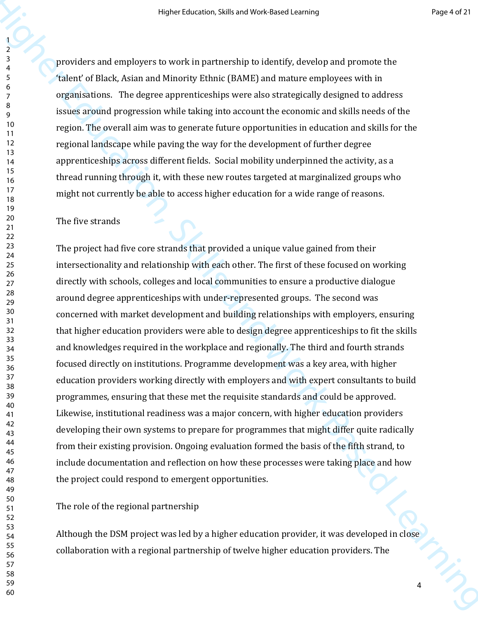providers and employers to work in partnership to identify, develop and promote the 'talent' of Black, Asian and Minority Ethnic (BAME) and mature employees with in organisations. The degree apprenticeships were also strategically designed to address issues around progression while taking into account the economic and skills needs of the region. The overall aim was to generate future opportunities in education and skills for the regional landscape while paving the way for the development of further degree apprenticeships across different fields. Social mobility underpinned the activity, as a thread running through it, with these new routes targeted at marginalized groups who might not currently be able to access higher education for a wide range of reasons.

#### The five strands

Here it is in a transition of the based MS-Based Learning Resolution of the model of the model of the model of the model of the model of the model of the model of the model of the model of the model of the model of the mo The project had five core strands that provided a unique value gained from their intersectionality and relationship with each other. The first of these focused on working directly with schools, colleges and local communities to ensure a productive dialogue around degree apprenticeships with under-represented groups. The second was concerned with market development and building relationships with employers, ensuring that higher education providers were able to design degree apprenticeships to fit the skills and knowledges required in the workplace and regionally. The third and fourth strands focused directly on institutions. Programme development was a key area, with higher education providers working directly with employers and with expert consultants to build programmes, ensuring that these met the requisite standards and could be approved. Likewise, institutional readiness was a major concern, with higher education providers developing their own systems to prepare for programmes that might differ quite radically from their existing provision. Ongoing evaluation formed the basis of the fifth strand, to include documentation and reflection on how these processes were taking place and how the project could respond to emergent opportunities.

The role of the regional partnership

Although the DSM project was led by a higher education provider, it was developed in close collaboration with a regional partnership of twelve higher education providers. The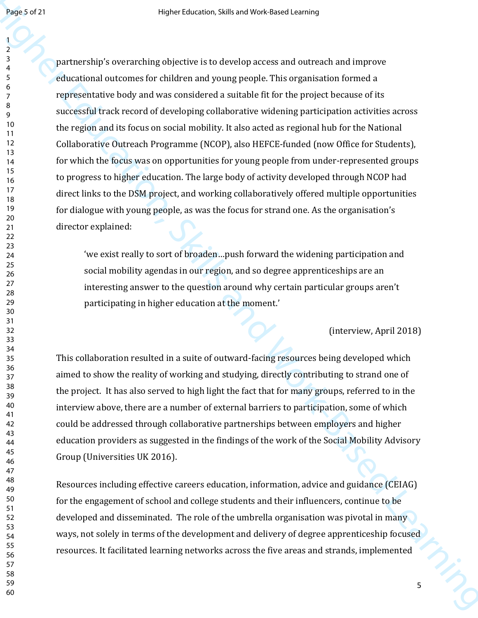Here is a method of the state of skills and Work-Based Learning increases and intervents and the state of the state of the state of the state of the state of the state of the state of the state of the state of the state o partnership's overarching objective is to develop access and outreach and improve educational outcomes for children and young people. This organisation formed a representative body and was considered a suitable fit for the project because of its successful track record of developing collaborative widening participation activities across the region and its focus on social mobility. It also acted as regional hub for the National Collaborative Outreach Programme (NCOP), also HEFCE-funded (now Office for Students), for which the focus was on opportunities for young people from under-represented groups to progress to higher education. The large body of activity developed through NCOP had direct links to the DSM project, and working collaboratively offered multiple opportunities for dialogue with young people, as was the focus for strand one. As the organisation's director explained:

'we exist really to sort of broaden…push forward the widening participation and social mobility agendas in our region, and so degree apprenticeships are an interesting answer to the question around why certain particular groups aren't participating in higher education at the moment.'

#### (interview, April 2018)

This collaboration resulted in a suite of outward-facing resources being developed which aimed to show the reality of working and studying, directly contributing to strand one of the project. It has also served to high light the fact that for many groups, referred to in the interview above, there are a number of external barriers to participation, some of which could be addressed through collaborative partnerships between employers and higher education providers as suggested in the findings of the work of the Social Mobility Advisory Group (Universities UK 2016).

Resources including effective careers education, information, advice and guidance (CEIAG) for the engagement of school and college students and their influencers, continue to be developed and disseminated. The role of the umbrella organisation was pivotal in many ways, not solely in terms of the development and delivery of degree apprenticeship focused resources. It facilitated learning networks across the five areas and strands, implemented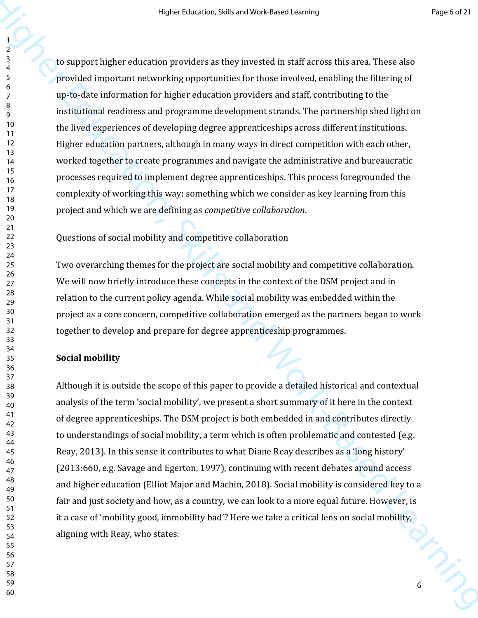Here these text is in and You know the state cannot<br>  $\frac{1}{2}$  to support higher column providers as they we eased in staff across this area. These also<br>
provided in particular methods for the first interventing oppertunit to support higher education providers as they invested in staff across this area. These also provided important networking opportunities for those involved, enabling the filtering of up-to-date information for higher education providers and staff, contributing to the institutional readiness and programme development strands. The partnership shed light on the lived experiences of developing degree apprenticeships across different institutions. Higher education partners, although in many ways in direct competition with each other, worked together to create programmes and navigate the administrative and bureaucratic processes required to implement degree apprenticeships. This process foregrounded the complexity of working this way: something which we consider as key learning from this project and which we are defining as *competitive collaboration*.

Questions of social mobility and competitive collaboration

Two overarching themes for the project are social mobility and competitive collaboration. We will now briefly introduce these concepts in the context of the DSM project and in relation to the current policy agenda. While social mobility was embedded within the project as a core concern, competitive collaboration emerged as the partners began to work together to develop and prepare for degree apprenticeship programmes.

#### **Social mobility**

Although it is outside the scope of this paper to provide a detailed historical and contextual analysis of the term 'social mobility', we present a short summary of it here in the context of degree apprenticeships. The DSM project is both embedded in and contributes directly to understandings of social mobility, a term which is often problematic and contested (e.g. Reay, 2013). In this sense it contributes to what Diane Reay describes as a 'long history' (2013:660, e.g. Savage and Egerton, 1997), continuing with recent debates around access and higher education (Elliot Major and Machin, 2018). Social mobility is considered key to a fair and just society and how, as a country, we can look to a more equal future. However, is it a case of 'mobility good, immobility bad'? Here we take a critical lens on social mobility, aligning with Reay, who states: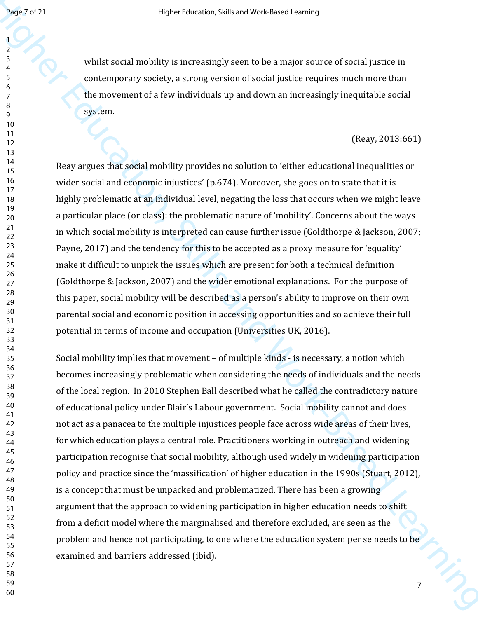whilst social mobility is increasingly seen to be a major source of social justice in contemporary society, a strong version of social justice requires much more than the movement of a few individuals up and down an increasingly inequitable social system.

#### (Reay, 2013:661)

Reay argues that social mobility provides no solution to 'either educational inequalities or wider social and economic injustices' (p.674). Moreover, she goes on to state that it is highly problematic at an individual level, negating the loss that occurs when we might leave a particular place (or class): the problematic nature of 'mobility'. Concerns about the ways in which social mobility is interpreted can cause further issue (Goldthorpe & Jackson, 2007; Payne, 2017) and the tendency for this to be accepted as a proxy measure for 'equality' make it difficult to unpick the issues which are present for both a technical definition (Goldthorpe & Jackson, 2007) and the wider emotional explanations. For the purpose of this paper, social mobility will be described as a person's ability to improve on their own parental social and economic position in accessing opportunities and so achieve their full potential in terms of income and occupation (Universities UK, 2016).

Heavy and the state of skills and Mosk these cannot<br>  $\frac{1}{2}$  while so call modulary is noregasingly seen to be a major source of secolulation in<br>  $\frac{1}{2}$  contemporary socially, a strong vension of such instead require Social mobility implies that movement – of multiple kinds - is necessary, a notion which becomes increasingly problematic when considering the needs of individuals and the needs of the local region. In 2010 Stephen Ball described what he called the contradictory nature of educational policy under Blair's Labour government. Social mobility cannot and does not act as a panacea to the multiple injustices people face across wide areas of their lives, for which education plays a central role. Practitioners working in outreach and widening participation recognise that social mobility, although used widely in widening participation policy and practice since the 'massification' of higher education in the 1990s (Stuart, 2012), is a concept that must be unpacked and problematized. There has been a growing argument that the approach to widening participation in higher education needs to shift from a deficit model where the marginalised and therefore excluded, are seen as the problem and hence not participating, to one where the education system per se needs to be examined and barriers addressed (ibid).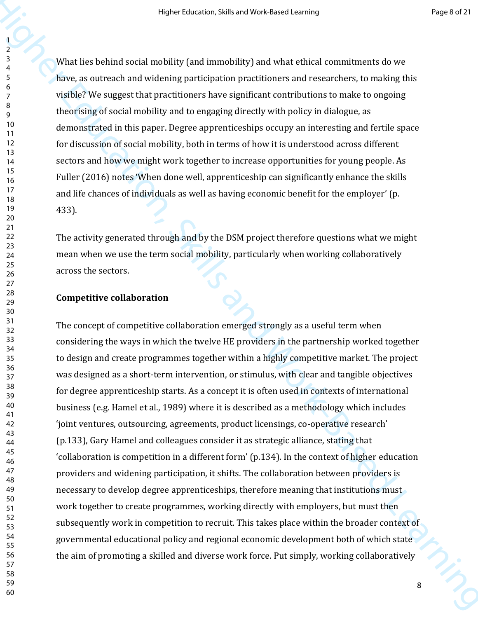What lies behind social mobility (and immobility) and what ethical commitments do we have, as outreach and widening participation practitioners and researchers, to making this visible? We suggest that practitioners have significant contributions to make to ongoing theorising of social mobility and to engaging directly with policy in dialogue, as demonstrated in this paper. Degree apprenticeships occupy an interesting and fertile space for discussion of social mobility, both in terms of how it is understood across different sectors and how we might work together to increase opportunities for young people. As Fuller (2016) notes 'When done well, apprenticeship can significantly enhance the skills and life chances of individuals as well as having economic benefit for the employer' (p. 433).

The activity generated through and by the DSM project therefore questions what we might mean when we use the term social mobility, particularly when working collaboratively across the sectors.

#### **Competitive collaboration**

Here is the set of the set of the set of the set of the set of the set of the set of the set of the set of the set of the set of the set of the set of the set of the set of the set of the set of the set of the set of the s The concept of competitive collaboration emerged strongly as a useful term when considering the ways in which the twelve HE providers in the partnership worked together to design and create programmes together within a highly competitive market. The project was designed as a short-term intervention, or stimulus, with clear and tangible objectives for degree apprenticeship starts. As a concept it is often used in contexts of international business (e.g. Hamel et al., 1989) where it is described as a methodology which includes 'joint ventures, outsourcing, agreements, product licensings, co-operative research' (p.133), Gary Hamel and colleagues consider it as strategic alliance, stating that 'collaboration is competition in a different form' (p.134). In the context of higher education providers and widening participation, it shifts. The collaboration between providers is necessary to develop degree apprenticeships, therefore meaning that institutions must work together to create programmes, working directly with employers, but must then subsequently work in competition to recruit. This takes place within the broader context of governmental educational policy and regional economic development both of which state the aim of promoting a skilled and diverse work force. Put simply, working collaboratively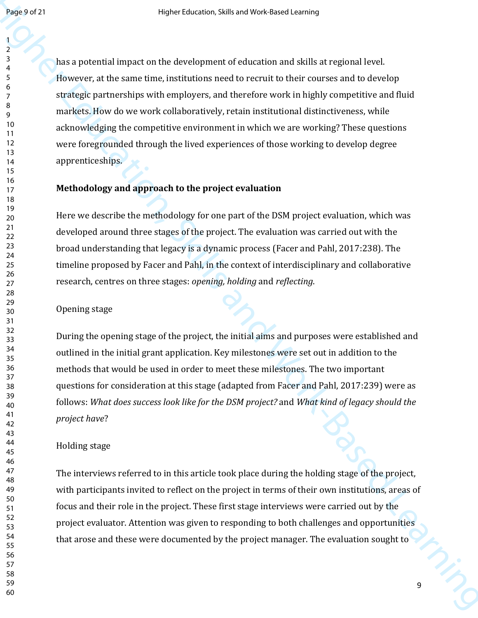Heap or 21<br>
Head and provential impact on the deceleptron of educations and skills are reproduced level.<br>
Theorem, at the same time, including and detector and the material of develops<br>  $\frac{1}{2}$  the same time, including has a potential impact on the development of education and skills at regional level. However, at the same time, institutions need to recruit to their courses and to develop strategic partnerships with employers, and therefore work in highly competitive and fluid markets. How do we work collaboratively, retain institutional distinctiveness, while acknowledging the competitive environment in which we are working? These questions were foregrounded through the lived experiences of those working to develop degree apprenticeships.

#### **Methodology and approach to the project evaluation**

Here we describe the methodology for one part of the DSM project evaluation, which was developed around three stages of the project. The evaluation was carried out with the broad understanding that legacy is a dynamic process (Facer and Pahl, 2017:238). The timeline proposed by Facer and Pahl, in the context of interdisciplinary and collaborative research, centres on three stages: *opening, holding* and *reflecting*.

#### Opening stage

During the opening stage of the project, the initial aims and purposes were established and outlined in the initial grant application. Key milestones were set out in addition to the methods that would be used in order to meet these milestones. The two important questions for consideration at this stage (adapted from Facer and Pahl, 2017:239) were as follows: *What does success look like for the DSM project?* and *What kind of legacy should the project have*?

#### Holding stage

The interviews referred to in this article took place during the holding stage of the project, with participants invited to reflect on the project in terms of their own institutions, areas of focus and their role in the project. These first stage interviews were carried out by the project evaluator. Attention was given to responding to both challenges and opportunities that arose and these were documented by the project manager. The evaluation sought to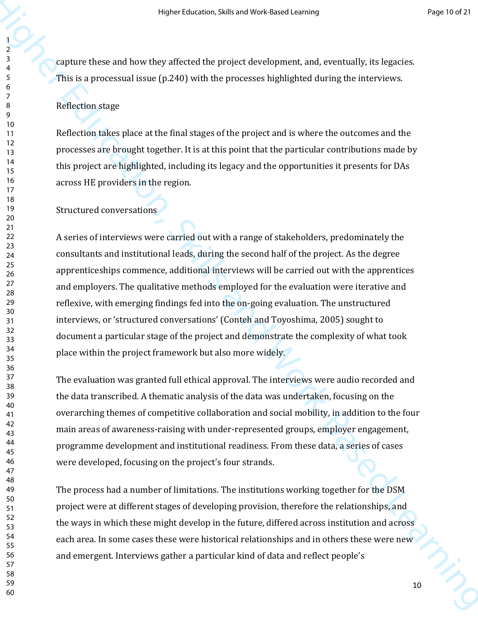capture these and how they affected the project development, and, eventually, its legacies. This is a processual issue (p.240) with the processes highlighted during the interviews.

## Reflection stage

Reflection takes place at the final stages of the project and is where the outcomes and the processes are brought together. It is at this point that the particular contributions made by this project are highlighted, including its legacy and the opportunities it presents for DAs across HE providers in the region.

Structured conversations

Here t takened, while and Most Learning<br>  $\frac{1}{2}$ <br>
Final is processed lower by affected the project development, and, eventually, its lagnetes.<br>
This is processes in some  $[2.2(1)]$  with the processe highlighted during th A series of interviews were carried out with a range of stakeholders, predominately the consultants and institutional leads, during the second half of the project. As the degree apprenticeships commence, additional interviews will be carried out with the apprentices and employers. The qualitative methods employed for the evaluation were iterative and reflexive, with emerging findings fed into the on-going evaluation. The unstructured interviews, or 'structured conversations' (Conteh and Toyoshima, 2005) sought to document a particular stage of the project and demonstrate the complexity of what took place within the project framework but also more widely.

The evaluation was granted full ethical approval. The interviews were audio recorded and the data transcribed. A thematic analysis of the data was undertaken, focusing on the overarching themes of competitive collaboration and social mobility, in addition to the four main areas of awareness-raising with under-represented groups, employer engagement, programme development and institutional readiness. From these data, a series of cases were developed, focusing on the project's four strands.

The process had a number of limitations. The institutions working together for the DSM project were at different stages of developing provision, therefore the relationships, and the ways in which these might develop in the future, differed across institution and across each area. In some cases these were historical relationships and in others these were new and emergent. Interviews gather a particular kind of data and reflect people's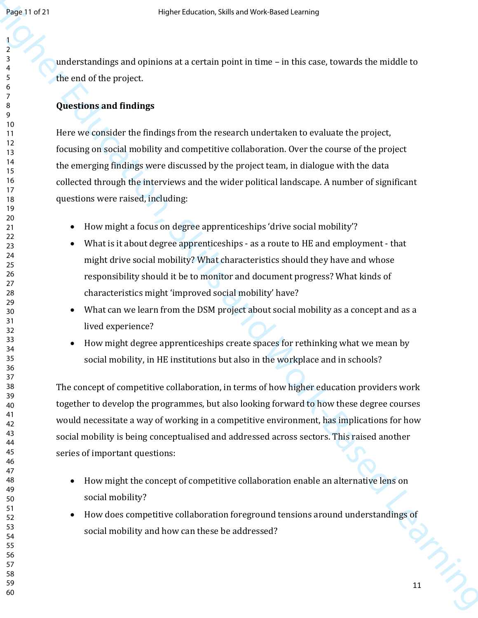understandings and opinions at a certain point in time – in this case, towards the middle to the end of the project.

## **Questions and findings**

Here we consider the findings from the research undertaken to evaluate the project, focusing on social mobility and competitive collaboration. Over the course of the project the emerging findings were discussed by the project team, in dialogue with the data collected through the interviews and the wider political landscape. A number of significant questions were raised, including:

- How might a focus on degree apprenticeships 'drive social mobility'?
- What is it about degree apprenticeships as a route to HE and employment that might drive social mobility? What characteristics should they have and whose responsibility should it be to monitor and document progress? What kinds of characteristics might 'improved social mobility' have?
- What can we learn from the DSM project about social mobility as a concept and as a lived experience?
- How might degree apprenticeships create spaces for rethinking what we mean by social mobility, in HE institutions but also in the workplace and in schools?

**Health of 21**<br>
Here two stations and epimons at a certain point in time – in this case, towards the muldile to<br>  $\frac{2}{3}$ <br>
the mul of the project.<br>
Here we consider the findings<br>
Here we consider the findings<br>
Here we co The concept of competitive collaboration, in terms of how higher education providers work together to develop the programmes, but also looking forward to how these degree courses would necessitate a way of working in a competitive environment, has implications for how social mobility is being conceptualised and addressed across sectors. This raised another series of important questions:

- How might the concept of competitive collaboration enable an alternative lens on social mobility?
- How does competitive collaboration foreground tensions around understandings of social mobility and how can these be addressed?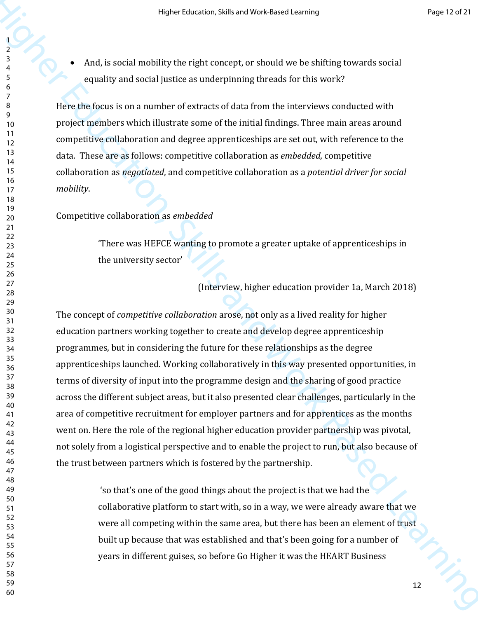And, is social mobility the right concept, or should we be shifting towards social equality and social justice as underpinning threads for this work?

Here the focus is on a number of extracts of data from the interviews conducted with project members which illustrate some of the initial findings. Three main areas around competitive collaboration and degree apprenticeships are set out, with reference to the data. These are as follows: competitive collaboration as *embedded*, competitive collaboration as *negotiated*, and competitive collaboration as a *potential driver for social mobility*.

## Competitive collaboration as *embedded*

'There was HEFCE wanting to promote a greater uptake of apprenticeships in the university sector'

(Interview, higher education provider 1a, March 2018)

Here t this average transferred with the set of the set of the set of the set of the set of the set of the set of the set of the set of the set of the set of the set of the set of the set of the set of the set of the set o The concept of *competitive collaboration* arose, not only as a lived reality for higher education partners working together to create and develop degree apprenticeship programmes, but in considering the future for these relationships as the degree apprenticeships launched. Working collaboratively in this way presented opportunities, in terms of diversity of input into the programme design and the sharing of good practice across the different subject areas, but it also presented clear challenges, particularly in the area of competitive recruitment for employer partners and for apprentices as the months went on. Here the role of the regional higher education provider partnership was pivotal, not solely from a logistical perspective and to enable the project to run, but also because of the trust between partners which is fostered by the partnership.

 'so that's one of the good things about the project is that we had the collaborative platform to start with, so in a way, we were already aware that we were all competing within the same area, but there has been an element of trust built up because that was established and that's been going for a number of years in different guises, so before Go Higher it was the HEART Business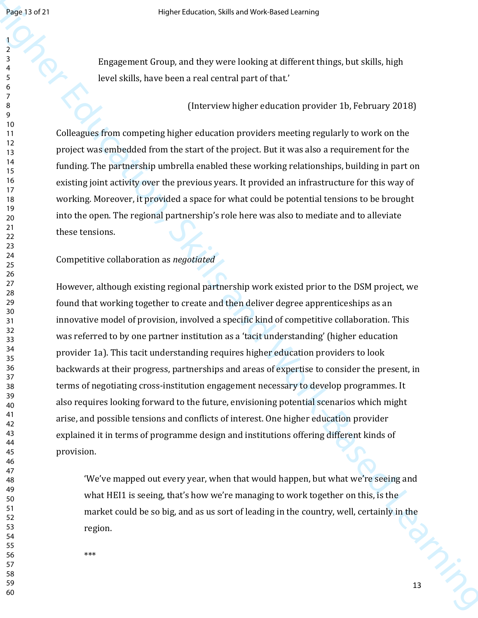Engagement Group, and they were looking at different things, but skills, high level skills, have been a real central part of that.'

(Interview higher education provider 1b, February 2018)

Colleagues from competing higher education providers meeting regularly to work on the project was embedded from the start of the project. But it was also a requirement for the funding. The partnership umbrella enabled these working relationships, building in part on existing joint activity over the previous years. It provided an infrastructure for this way of working. Moreover, it provided a space for what could be potential tensions to be brought into the open. The regional partnership's role here was also to mediate and to alleviate these tensions.

#### Competitive collaboration as *negotiated*

Health 2021<br>
Heave Leisener, challs and Work-Based Learning, but shells, high<br>  $\frac{1}{2}$ <br>  $\frac{1}{2}$ <br>  $\frac{1}{2}$ <br>  $\frac{1}{2}$ <br>  $\frac{1}{2}$ <br>  $\frac{1}{2}$ <br>  $\frac{1}{2}$ <br>  $\frac{1}{2}$ <br>  $\frac{1}{2}$ <br>  $\frac{1}{2}$ <br>  $\frac{1}{2}$ <br>  $\frac{1}{2}$ <br>  $\frac{1}{2}$ <br> However, although existing regional partnership work existed prior to the DSM project, we found that working together to create and then deliver degree apprenticeships as an innovative model of provision, involved a specific kind of competitive collaboration. This was referred to by one partner institution as a 'tacit understanding' (higher education provider 1a). This tacit understanding requires higher education providers to look backwards at their progress, partnerships and areas of expertise to consider the present, in terms of negotiating cross-institution engagement necessary to develop programmes. It also requires looking forward to the future, envisioning potential scenarios which might arise, and possible tensions and conflicts of interest. One higher education provider explained it in terms of programme design and institutions offering different kinds of provision.

'We've mapped out every year, when that would happen, but what we're seeing and what HEI1 is seeing, that's how we're managing to work together on this, is the market could be so big, and as us sort of leading in the country, well, certainly in the region.

\*\*\*

 $\eta_{\hat{\mathcal{D}}_{j_1}}$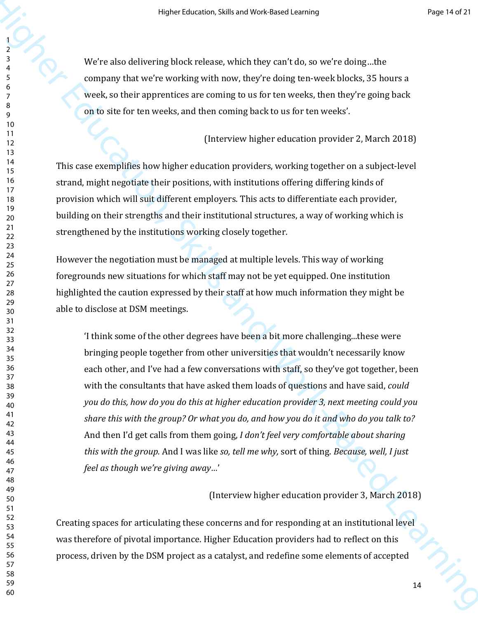We're also delivering block release, which they can't do, so we're doing…the company that we're working with now, they're doing ten-week blocks, 35 hours a week, so their apprentices are coming to us for ten weeks, then they're going back on to site for ten weeks, and then coming back to us for ten weeks'.

(Interview higher education provider 2, March 2018)

This case exemplifies how higher education providers, working together on a subject-level strand, might negotiate their positions, with institutions offering differing kinds of provision which will suit different employers. This acts to differentiate each provider, building on their strengths and their institutional structures, a way of working which is strengthened by the institutions working closely together.

However the negotiation must be managed at multiple levels. This way of working foregrounds new situations for which staff may not be yet equipped. One institution highlighted the caution expressed by their staff at how much information they might be able to disclose at DSM meetings.

Here there are not the start of the start of the start of the start of the start of the start of the start of the start of the start of the start of the start of the start of the start of the start of the start of the sta 'I think some of the other degrees have been a bit more challenging...these were bringing people together from other universities that wouldn't necessarily know each other, and I've had a few conversations with staff, so they've got together, been with the consultants that have asked them loads of questions and have said, *could you do this, how do you do this at higher education provider 3, next meeting could you share this with the group? Or what you do, and how you do it and who do you talk to?*  And then I'd get calls from them going, *I don't feel very comfortable about sharing this with the group.* And I was like *so, tell me why,* sort of thing. *Because, well, I just feel as though we're giving away…*'

### (Interview higher education provider 3, March 2018)

Creating spaces for articulating these concerns and for responding at an institutional level was therefore of pivotal importance. Higher Education providers had to reflect on this process, driven by the DSM project as a catalyst, and redefine some elements of accepted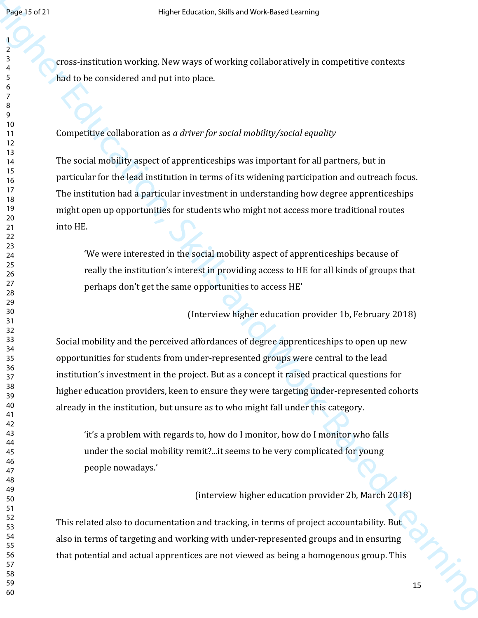cross-institution working. New ways of working collaboratively in competitive contexts had to be considered and put into place.

## Competitive collaboration as *a driver for social mobility/social equality*

The social mobility aspect of apprenticeships was important for all partners, but in particular for the lead institution in terms of its widening participation and outreach focus. The institution had a particular investment in understanding how degree apprenticeships might open up opportunities for students who might not access more traditional routes into HE.

'We were interested in the social mobility aspect of apprenticeships because of really the institution's interest in providing access to HE for all kinds of groups that perhaps don't get the same opportunities to access HE'

(Interview higher education provider 1b, February 2018)

Healt Soration and the state of the state correspondence of the state of the state of the state of the state of the state of the state of the state of the state of the state of the state of the state of the state of the s Social mobility and the perceived affordances of degree apprenticeships to open up new opportunities for students from under-represented groups were central to the lead institution's investment in the project. But as a concept it raised practical questions for higher education providers, keen to ensure they were targeting under-represented cohorts already in the institution, but unsure as to who might fall under this category.

'it's a problem with regards to, how do I monitor, how do I monitor who falls under the social mobility remit?...it seems to be very complicated for young people nowadays.'

(interview higher education provider 2b, March 2018)

This related also to documentation and tracking, in terms of project accountability. But also in terms of targeting and working with under-represented groups and in ensuring that potential and actual apprentices are not viewed as being a homogenous group. This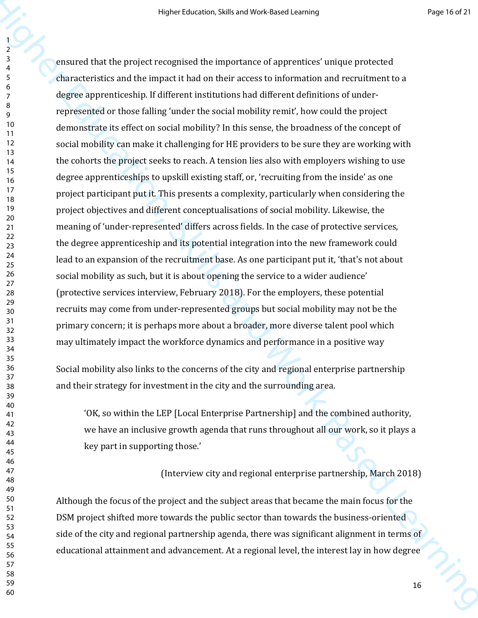Here these text is in and YOS Hassel and YOS Hassel and YoS Hassel and Yos Hassel and Yos Hassel and Theorem (and the internal control of the matter of the matter of the matter of the matter of the matter of the matter of ensured that the project recognised the importance of apprentices' unique protected characteristics and the impact it had on their access to information and recruitment to a degree apprenticeship. If different institutions had different definitions of underrepresented or those falling 'under the social mobility remit', how could the project demonstrate its effect on social mobility? In this sense, the broadness of the concept of social mobility can make it challenging for HE providers to be sure they are working with the cohorts the project seeks to reach. A tension lies also with employers wishing to use degree apprenticeships to upskill existing staff, or, 'recruiting from the inside' as one project participant put it. This presents a complexity, particularly when considering the project objectives and different conceptualisations of social mobility. Likewise, the meaning of 'under-represented' differs across fields. In the case of protective services, the degree apprenticeship and its potential integration into the new framework could lead to an expansion of the recruitment base. As one participant put it, 'that's not about social mobility as such, but it is about opening the service to a wider audience' (protective services interview, February 2018). For the employers, these potential recruits may come from under-represented groups but social mobility may not be the primary concern; it is perhaps more about a broader, more diverse talent pool which may ultimately impact the workforce dynamics and performance in a positive way

Social mobility also links to the concerns of the city and regional enterprise partnership and their strategy for investment in the city and the surrounding area.

'OK, so within the LEP [Local Enterprise Partnership] and the combined authority, we have an inclusive growth agenda that runs throughout all our work, so it plays a key part in supporting those.'

(Interview city and regional enterprise partnership, March 2018)

Although the focus of the project and the subject areas that became the main focus for the DSM project shifted more towards the public sector than towards the business-oriented side of the city and regional partnership agenda, there was significant alignment in terms of educational attainment and advancement. At a regional level, the interest lay in how degree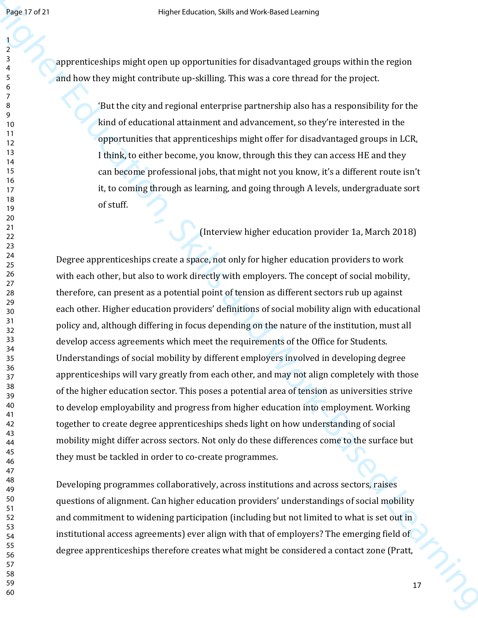apprenticeships might open up opportunities for disadvantaged groups within the region and how they might contribute up-skilling. This was a core thread for the project.

> 'But the city and regional enterprise partnership also has a responsibility for the kind of educational attainment and advancement, so they're interested in the opportunities that apprenticeships might offer for disadvantaged groups in LCR, I think, to either become, you know, through this they can access HE and they can become professional jobs, that might not you know, it's a different route isn't it, to coming through as learning, and going through A levels, undergraduate sort of stuff.

> > (Interview higher education provider 1a, March 2018)

Health and Work-Based Learning is interesting and Work-Based Learning of properties and the energy matrix and the energy matrix and the energy matrix and the energy matrix and the energy matrix and the energy matrix and t Degree apprenticeships create a space, not only for higher education providers to work with each other, but also to work directly with employers. The concept of social mobility, therefore, can present as a potential point of tension as different sectors rub up against each other. Higher education providers' definitions of social mobility align with educational policy and, although differing in focus depending on the nature of the institution, must all develop access agreements which meet the requirements of the Office for Students. Understandings of social mobility by different employers involved in developing degree apprenticeships will vary greatly from each other, and may not align completely with those of the higher education sector. This poses a potential area of tension as universities strive to develop employability and progress from higher education into employment. Working together to create degree apprenticeships sheds light on how understanding of social mobility might differ across sectors. Not only do these differences come to the surface but they must be tackled in order to co-create programmes.

Developing programmes collaboratively, across institutions and across sectors, raises questions of alignment. Can higher education providers' understandings of social mobility and commitment to widening participation (including but not limited to what is set out in institutional access agreements) ever align with that of employers? The emerging field of degree apprenticeships therefore creates what might be considered a contact zone (Pratt,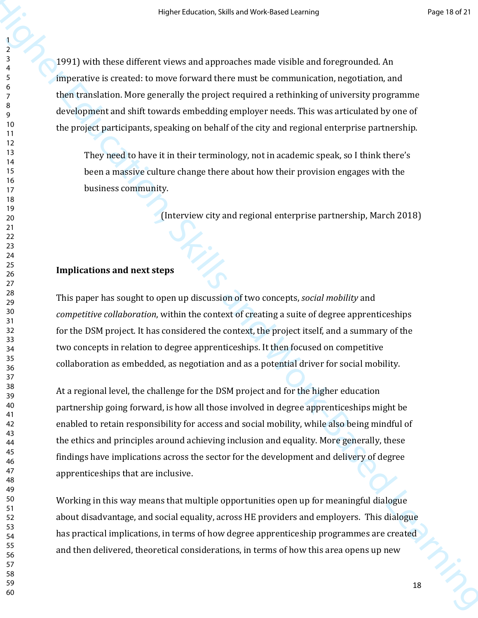1991) with these different views and approaches made visible and foregrounded. An imperative is created: to move forward there must be communication, negotiation, and then translation. More generally the project required a rethinking of university programme development and shift towards embedding employer needs. This was articulated by one of the project participants, speaking on behalf of the city and regional enterprise partnership.

They need to have it in their terminology, not in academic speak, so I think there's been a massive culture change there about how their provision engages with the business community.

(Interview city and regional enterprise partnership, March 2018)

#### **Implications and next steps**

This paper has sought to open up discussion of two concepts, *social mobility* and *competitive collaboration*, within the context of creating a suite of degree apprenticeships for the DSM project. It has considered the context, the project itself, and a summary of the two concepts in relation to degree apprenticeships. It then focused on competitive collaboration as embedded, as negotiation and as a potential driver for social mobility.

Here takes on a this and Most and Comparison (Figure 1988)<br>
1991) with these different treews and approaches made visible and foreywounded. An<br>impositive is created to mean forecard the protect required a rethning of conve At a regional level, the challenge for the DSM project and for the higher education partnership going forward, is how all those involved in degree apprenticeships might be enabled to retain responsibility for access and social mobility, while also being mindful of the ethics and principles around achieving inclusion and equality. More generally, these findings have implications across the sector for the development and delivery of degree apprenticeships that are inclusive.

Working in this way means that multiple opportunities open up for meaningful dialogue about disadvantage, and social equality, across HE providers and employers. This dialogue has practical implications, in terms of how degree apprenticeship programmes are created and then delivered, theoretical considerations, in terms of how this area opens up new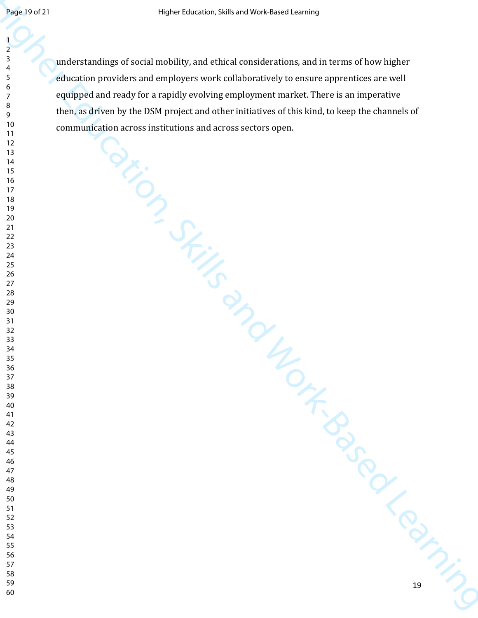$\frac{1}{2}$ <br>  $\frac{1}{2}$ <br>  $\frac{1}{2}$ <br>  $\frac{1}{2}$ <br>  $\frac{1}{2}$ <br>  $\frac{1}{2}$ <br>  $\frac{1}{2}$ <br>  $\frac{1}{2}$ <br>  $\frac{1}{2}$ <br>  $\frac{1}{2}$ <br>  $\frac{1}{2}$ <br>  $\frac{1}{2}$ <br>  $\frac{1}{2}$ <br>  $\frac{1}{2}$ <br>  $\frac{1}{2}$ <br>  $\frac{1}{2}$ <br>  $\frac{1}{2}$ <br>  $\frac{1}{2}$ <br>  $\frac{1}{2}$ <br>  $\frac{1}{2}$ <br> understandings of social mobility, and ethical considerations, and in terms of how higher education providers and employers work collaboratively to ensure apprentices are well equipped and ready for a rapidly evolving employment market. There is an imperative then, as driven by the DSM project and other initiatives of this kind, to keep the channels of communication across institutions and across sectors open.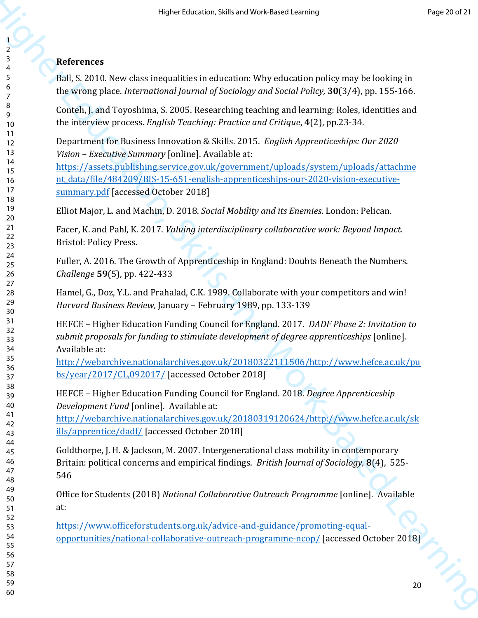## **References**

Ball, S. 2010. New class inequalities in education: Why education policy may be looking in the wrong place. *International Journal of Sociology and Social Policy,* **30**(3/4), pp. 155-166.

Conteh, J. and Toyoshima, S. 2005. Researching teaching and learning: Roles, identities and the interview process. *English Teaching: Practice and Critique*, **4**(2), pp.23-34.

Department for Business Innovation & Skills. 2015. *English Apprenticeships: Our 2020 Vision – Executive Summary* [online]. Available at:

Here it is the set of the set of the set of the set of the set of the set of the set of the set of the set of the set of the set of the set of the set of the set of the set of the set of the set of the set of the set of t https://assets.publishing.service.gov.uk/government/uploads/system/uploads/attachme nt\_data/file/484209/BIS-15-651-english-apprenticeships-our-2020-vision-executivesummary.pdf [accessed October 2018]

Elliot Major, L. and Machin, D. 2018. *Social Mobility and its Enemies*. London: Pelican.

Facer, K. and Pahl, K. 2017. *Valuing interdisciplinary collaborative work: Beyond Impact.*  Bristol: Policy Press.

Fuller, A. 2016. The Growth of Apprenticeship in England: Doubts Beneath the Numbers. *Challenge* **59**(5), pp. 422-433

Hamel, G., Doz, Y.L. and Prahalad, C.K. 1989. Collaborate with your competitors and win! *Harvard Business Review,* January – February 1989, pp. 133-139

HEFCE – Higher Education Funding Council for England. 2017. *DADF Phase 2: Invitation to submit proposals for funding to stimulate development of degree apprenticeships* [online]. Available at:

http://webarchive.nationalarchives.gov.uk/20180322111506/http://www.hefce.ac.uk/pu bs/year/2017/CL,092017/ [accessed October 2018]

HEFCE – Higher Education Funding Council for England. 2018. *Degree Apprenticeship Development Fund* [online]. Available at:

http://webarchive.nationalarchives.gov.uk/20180319120624/http://www.hefce.ac.uk/sk ills/apprentice/dadf/ [accessed October 2018]

Goldthorpe, J. H. & Jackson, M. 2007. Intergenerational class mobility in contemporary Britain: political concerns and empirical findings. *British Journal of Sociology,* **8**(4), 525- 

Office for Students (2018) *National Collaborative Outreach Programme* [online]. Available at:

https://www.officeforstudents.org.uk/advice-and-guidance/promoting-equalopportunities/national-collaborative-outreach-programme-ncop/ [accessed October 2018]